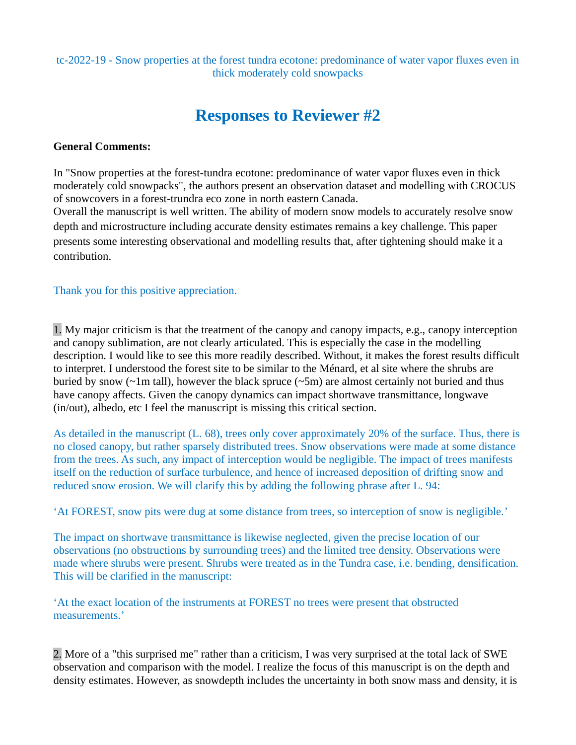tc-2022-19 - Snow properties at the forest tundra ecotone: predominance of water vapor fluxes even in thick moderately cold snowpacks

# **Responses to Reviewer #2**

#### **General Comments:**

In "Snow properties at the forest-tundra ecotone: predominance of water vapor fluxes even in thick moderately cold snowpacks", the authors present an observation dataset and modelling with CROCUS of snowcovers in a forest-trundra eco zone in north eastern Canada.

Overall the manuscript is well written. The ability of modern snow models to accurately resolve snow depth and microstructure including accurate density estimates remains a key challenge. This paper presents some interesting observational and modelling results that, after tightening should make it a contribution.

Thank you for this positive appreciation.

1. My major criticism is that the treatment of the canopy and canopy impacts, e.g., canopy interception and canopy sublimation, are not clearly articulated. This is especially the case in the modelling description. I would like to see this more readily described. Without, it makes the forest results difficult to interpret. I understood the forest site to be similar to the Ménard, et al site where the shrubs are buried by snow ( $\sim$ 1m tall), however the black spruce ( $\sim$ 5m) are almost certainly not buried and thus have canopy affects. Given the canopy dynamics can impact shortwave transmittance, longwave (in/out), albedo, etc I feel the manuscript is missing this critical section.

As detailed in the manuscript (L. 68), trees only cover approximately 20% of the surface. Thus, there is no closed canopy, but rather sparsely distributed trees. Snow observations were made at some distance from the trees. As such, any impact of interception would be negligible. The impact of trees manifests itself on the reduction of surface turbulence, and hence of increased deposition of drifting snow and reduced snow erosion. We will clarify this by adding the following phrase after L. 94:

'At FOREST, snow pits were dug at some distance from trees, so interception of snow is negligible.'

The impact on shortwave transmittance is likewise neglected, given the precise location of our observations (no obstructions by surrounding trees) and the limited tree density. Observations were made where shrubs were present. Shrubs were treated as in the Tundra case, i.e. bending, densification. This will be clarified in the manuscript:

'At the exact location of the instruments at FOREST no trees were present that obstructed measurements.'

2. More of a "this surprised me" rather than a criticism, I was very surprised at the total lack of SWE observation and comparison with the model. I realize the focus of this manuscript is on the depth and density estimates. However, as snowdepth includes the uncertainty in both snow mass and density, it is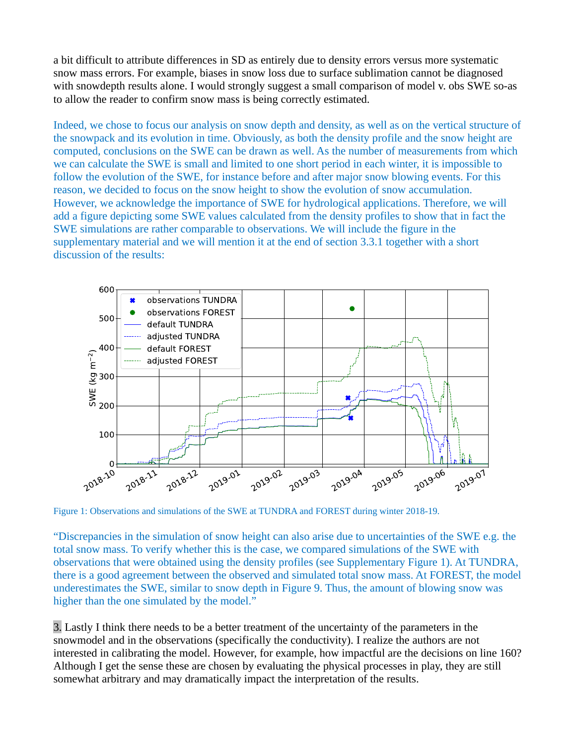a bit difficult to attribute differences in SD as entirely due to density errors versus more systematic snow mass errors. For example, biases in snow loss due to surface sublimation cannot be diagnosed with snowdepth results alone. I would strongly suggest a small comparison of model v. obs SWE so-as to allow the reader to confirm snow mass is being correctly estimated.

Indeed, we chose to focus our analysis on snow depth and density, as well as on the vertical structure of the snowpack and its evolution in time. Obviously, as both the density profile and the snow height are computed, conclusions on the SWE can be drawn as well. As the number of measurements from which we can calculate the SWE is small and limited to one short period in each winter, it is impossible to follow the evolution of the SWE, for instance before and after major snow blowing events. For this reason, we decided to focus on the snow height to show the evolution of snow accumulation. However, we acknowledge the importance of SWE for hydrological applications. Therefore, we will add a figure depicting some SWE values calculated from the density profiles to show that in fact the SWE simulations are rather comparable to observations. We will include the figure in the supplementary material and we will mention it at the end of section 3.3.1 together with a short discussion of the results:



Figure 1: Observations and simulations of the SWE at TUNDRA and FOREST during winter 2018-19.

"Discrepancies in the simulation of snow height can also arise due to uncertainties of the SWE e.g. the total snow mass. To verify whether this is the case, we compared simulations of the SWE with observations that were obtained using the density profiles (see Supplementary Figure 1). At TUNDRA, there is a good agreement between the observed and simulated total snow mass. At FOREST, the model underestimates the SWE, similar to snow depth in Figure 9. Thus, the amount of blowing snow was higher than the one simulated by the model."  $\gamma^{0.8}$   $\gamma^{0.8}$   $\gamma^{0.8}$   $\gamma^{0.8}$   $\gamma^{0.8}$   $\gamma^{0.8}$   $\gamma^{0.8}$   $\gamma^{0.8}$   $\gamma^{0.8}$   $\gamma^{0.8}$   $\gamma^{0.8}$   $\gamma^{0.8}$   $\gamma^{0.8}$   $\gamma^{0.8}$   $\gamma^{0.8}$   $\gamma^{0.8}$   $\gamma^{0.8}$   $\gamma^{0.8}$   $\gamma^{0.8}$   $\gamma^{0.8}$   $\gamma^{0.8}$   $\gamma^{0.8}$ 

3. Lastly I think there needs to be a better treatment of the uncertainty of the parameters in the snowmodel and in the observations (specifically the conductivity). I realize the authors are not interested in calibrating the model. However, for example, how impactful are the decisions on line 160? Although I get the sense these are chosen by evaluating the physical processes in play, they are still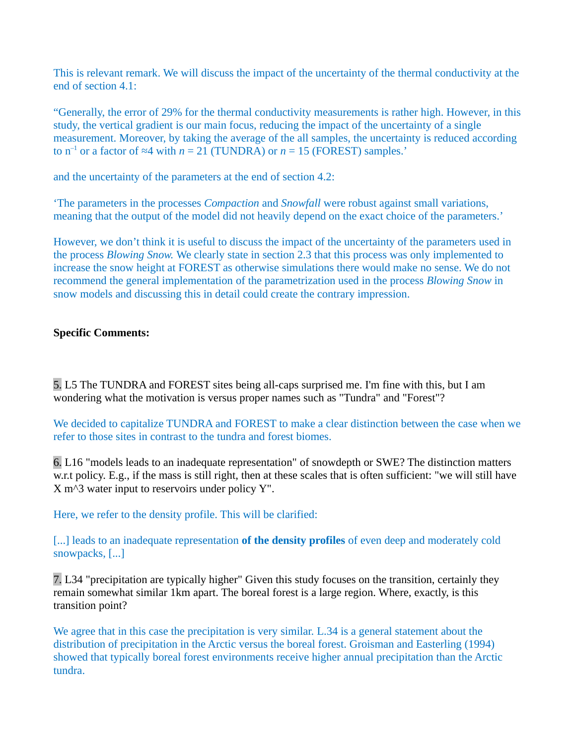This is relevant remark. We will discuss the impact of the uncertainty of the thermal conductivity at the end of section 4.1:

"Generally, the error of 29% for the thermal conductivity measurements is rather high. However, in this study, the vertical gradient is our main focus, reducing the impact of the uncertainty of a single measurement. Moreover, by taking the average of the all samples, the uncertainty is reduced according to  $n^{-1}$  or a factor of  $\approx$ 4 with  $n = 21$  (TUNDRA) or  $n = 15$  (FOREST) samples.'

and the uncertainty of the parameters at the end of section 4.2:

'The parameters in the processes *Compaction* and *Snowfall* were robust against small variations, meaning that the output of the model did not heavily depend on the exact choice of the parameters.'

However, we don't think it is useful to discuss the impact of the uncertainty of the parameters used in the process *Blowing Snow.* We clearly state in section 2.3 that this process was only implemented to increase the snow height at FOREST as otherwise simulations there would make no sense. We do not recommend the general implementation of the parametrization used in the process *Blowing Snow* in snow models and discussing this in detail could create the contrary impression.

#### **Specific Comments:**

5. L5 The TUNDRA and FOREST sites being all-caps surprised me. I'm fine with this, but I am wondering what the motivation is versus proper names such as "Tundra" and "Forest"?

We decided to capitalize TUNDRA and FOREST to make a clear distinction between the case when we refer to those sites in contrast to the tundra and forest biomes.

6. L16 "models leads to an inadequate representation" of snowdepth or SWE? The distinction matters w.r.t policy. E.g., if the mass is still right, then at these scales that is often sufficient: "we will still have  $X$  m $\land$ 3 water input to reservoirs under policy Y".

Here, we refer to the density profile. This will be clarified:

[...] leads to an inadequate representation **of the density profiles** of even deep and moderately cold snowpacks, [...]

7. L34 "precipitation are typically higher" Given this study focuses on the transition, certainly they remain somewhat similar 1km apart. The boreal forest is a large region. Where, exactly, is this transition point?

We agree that in this case the precipitation is very similar. L.34 is a general statement about the distribution of precipitation in the Arctic versus the boreal forest. Groisman and Easterling (1994) showed that typically boreal forest environments receive higher annual precipitation than the Arctic tundra.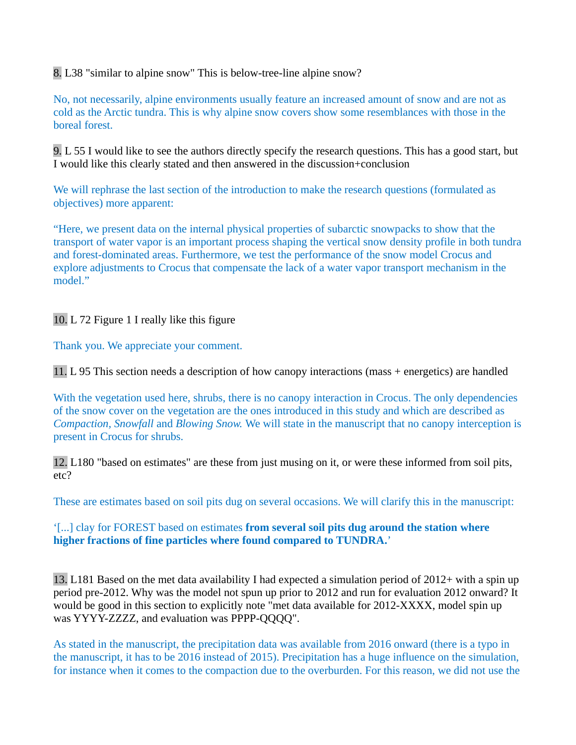8. L38 "similar to alpine snow" This is below-tree-line alpine snow?

No, not necessarily, alpine environments usually feature an increased amount of snow and are not as cold as the Arctic tundra. This is why alpine snow covers show some resemblances with those in the boreal forest.

9. L 55 I would like to see the authors directly specify the research questions. This has a good start, but I would like this clearly stated and then answered in the discussion+conclusion

We will rephrase the last section of the introduction to make the research questions (formulated as objectives) more apparent:

"Here, we present data on the internal physical properties of subarctic snowpacks to show that the transport of water vapor is an important process shaping the vertical snow density profile in both tundra and forest-dominated areas. Furthermore, we test the performance of the snow model Crocus and explore adjustments to Crocus that compensate the lack of a water vapor transport mechanism in the model."

10. L 72 Figure 1 I really like this figure

Thank you. We appreciate your comment.

11. L 95 This section needs a description of how canopy interactions (mass + energetics) are handled

With the vegetation used here, shrubs, there is no canopy interaction in Crocus. The only dependencies of the snow cover on the vegetation are the ones introduced in this study and which are described as *Compaction, Snowfall* and *Blowing Snow.* We will state in the manuscript that no canopy interception is present in Crocus for shrubs.

12. L180 "based on estimates" are these from just musing on it, or were these informed from soil pits, etc?

These are estimates based on soil pits dug on several occasions. We will clarify this in the manuscript:

#### '[...] clay for FOREST based on estimates **from several soil pits dug around the station where higher fractions of fine particles where found compared to TUNDRA.**'

13. L181 Based on the met data availability I had expected a simulation period of 2012+ with a spin up period pre-2012. Why was the model not spun up prior to 2012 and run for evaluation 2012 onward? It would be good in this section to explicitly note "met data available for 2012-XXXX, model spin up was YYYY-ZZZZ, and evaluation was PPPP-QQQQ".

As stated in the manuscript, the precipitation data was available from 2016 onward (there is a typo in the manuscript, it has to be 2016 instead of 2015). Precipitation has a huge influence on the simulation, for instance when it comes to the compaction due to the overburden. For this reason, we did not use the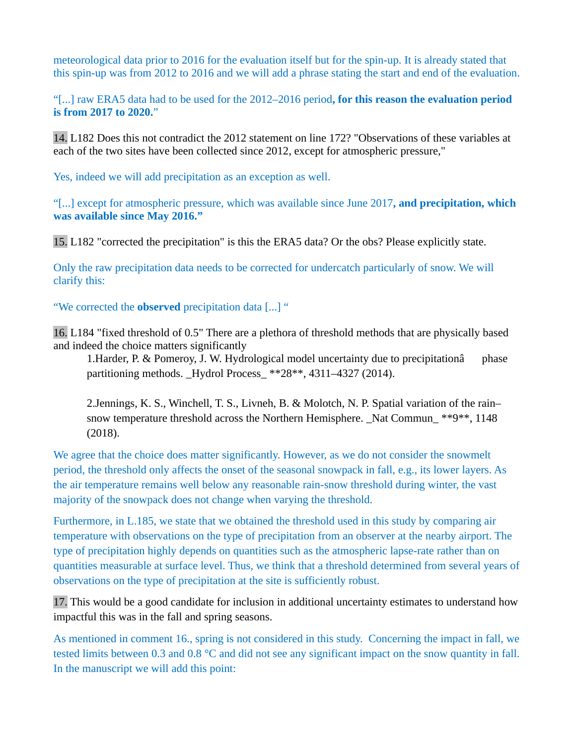meteorological data prior to 2016 for the evaluation itself but for the spin-up. It is already stated that this spin-up was from 2012 to 2016 and we will add a phrase stating the start and end of the evaluation.

"[...] raw ERA5 data had to be used for the 2012–2016 period**, for this reason the evaluation period is from 2017 to 2020.**"

14. L182 Does this not contradict the 2012 statement on line 172? "Observations of these variables at each of the two sites have been collected since 2012, except for atmospheric pressure,"

Yes, indeed we will add precipitation as an exception as well.

"[...] except for atmospheric pressure, which was available since June 2017**, and precipitation, which was available since May 2016."**

15. L182 "corrected the precipitation" is this the ERA5 data? Or the obs? Please explicitly state.

Only the raw precipitation data needs to be corrected for undercatch particularly of snow. We will clarify this:

"We corrected the **observed** precipitation data [...] "

16. L184 "fixed threshold of 0.5" There are a plethora of threshold methods that are physically based and indeed the choice matters significantly

1.Harder, P. & Pomeroy, J. W. Hydrological model uncertainty due to precipitationâ phase partitioning methods. Hydrol Process \*\*28\*\*, 4311–4327 (2014).

2.Jennings, K. S., Winchell, T. S., Livneh, B. & Molotch, N. P. Spatial variation of the rain– snow temperature threshold across the Northern Hemisphere. Nat Commun  $*$ <sup>4</sup>9<sup>\*\*</sup>, 1148 (2018).

We agree that the choice does matter significantly. However, as we do not consider the snowmelt period, the threshold only affects the onset of the seasonal snowpack in fall, e.g., its lower layers. As the air temperature remains well below any reasonable rain-snow threshold during winter, the vast majority of the snowpack does not change when varying the threshold.

Furthermore, in L.185, we state that we obtained the threshold used in this study by comparing air temperature with observations on the type of precipitation from an observer at the nearby airport. The type of precipitation highly depends on quantities such as the atmospheric lapse-rate rather than on quantities measurable at surface level. Thus, we think that a threshold determined from several years of observations on the type of precipitation at the site is sufficiently robust.

17. This would be a good candidate for inclusion in additional uncertainty estimates to understand how impactful this was in the fall and spring seasons.

As mentioned in comment 16., spring is not considered in this study. Concerning the impact in fall, we tested limits between 0.3 and 0.8  $^{\circ}$ C and did not see any significant impact on the snow quantity in fall. In the manuscript we will add this point: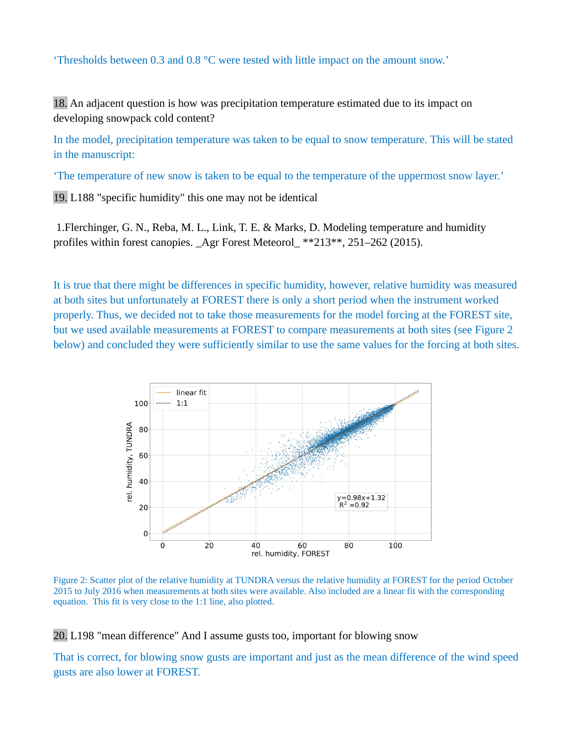'Thresholds between 0.3 and 0.8 °C were tested with little impact on the amount snow.'

18. An adjacent question is how was precipitation temperature estimated due to its impact on developing snowpack cold content?

In the model, precipitation temperature was taken to be equal to snow temperature. This will be stated in the manuscript:

'The temperature of new snow is taken to be equal to the temperature of the uppermost snow layer.'

19. L188 "specific humidity" this one may not be identical

 1.Flerchinger, G. N., Reba, M. L., Link, T. E. & Marks, D. Modeling temperature and humidity profiles within forest canopies. \_Agr Forest Meteorol\_ \*\*213\*\*, 251–262 (2015).

It is true that there might be differences in specific humidity, however, relative humidity was measured at both sites but unfortunately at FOREST there is only a short period when the instrument worked properly. Thus, we decided not to take those measurements for the model forcing at the FOREST site, but we used available measurements at FOREST to compare measurements at both sites (see Figure 2 below) and concluded they were sufficiently similar to use the same values for the forcing at both sites.



Figure 2: Scatter plot of the relative humidity at TUNDRA versus the relative humidity at FOREST for the period October 2015 to July 2016 when measurements at both sites were available. Also included are a linear fit with the corresponding equation. This fit is very close to the 1:1 line, also plotted.

20. L198 "mean difference" And I assume gusts too, important for blowing snow

That is correct, for blowing snow gusts are important and just as the mean difference of the wind speed gusts are also lower at FOREST.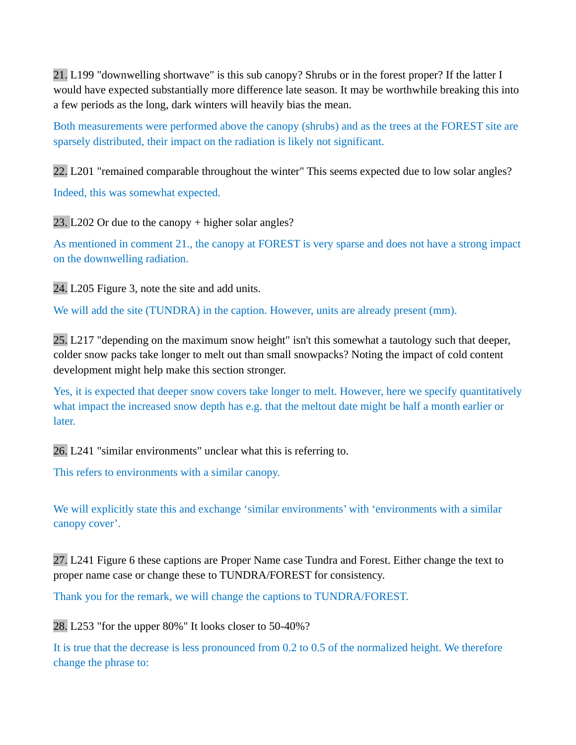21. L199 "downwelling shortwave" is this sub canopy? Shrubs or in the forest proper? If the latter I would have expected substantially more difference late season. It may be worthwhile breaking this into a few periods as the long, dark winters will heavily bias the mean.

Both measurements were performed above the canopy (shrubs) and as the trees at the FOREST site are sparsely distributed, their impact on the radiation is likely not significant.

22. L201 "remained comparable throughout the winter" This seems expected due to low solar angles? Indeed, this was somewhat expected.

23. L202 Or due to the canopy + higher solar angles?

As mentioned in comment 21., the canopy at FOREST is very sparse and does not have a strong impact on the downwelling radiation.

24. L205 Figure 3, note the site and add units.

We will add the site (TUNDRA) in the caption. However, units are already present (mm).

25. L217 "depending on the maximum snow height" isn't this somewhat a tautology such that deeper, colder snow packs take longer to melt out than small snowpacks? Noting the impact of cold content development might help make this section stronger.

Yes, it is expected that deeper snow covers take longer to melt. However, here we specify quantitatively what impact the increased snow depth has e.g. that the meltout date might be half a month earlier or later.

26. L241 "similar environments" unclear what this is referring to.

This refers to environments with a similar canopy.

We will explicitly state this and exchange 'similar environments' with 'environments with a similar canopy cover'.

27. L241 Figure 6 these captions are Proper Name case Tundra and Forest. Either change the text to proper name case or change these to TUNDRA/FOREST for consistency.

Thank you for the remark, we will change the captions to TUNDRA/FOREST.

28. L253 "for the upper 80%" It looks closer to 50-40%?

It is true that the decrease is less pronounced from 0.2 to 0.5 of the normalized height. We therefore change the phrase to: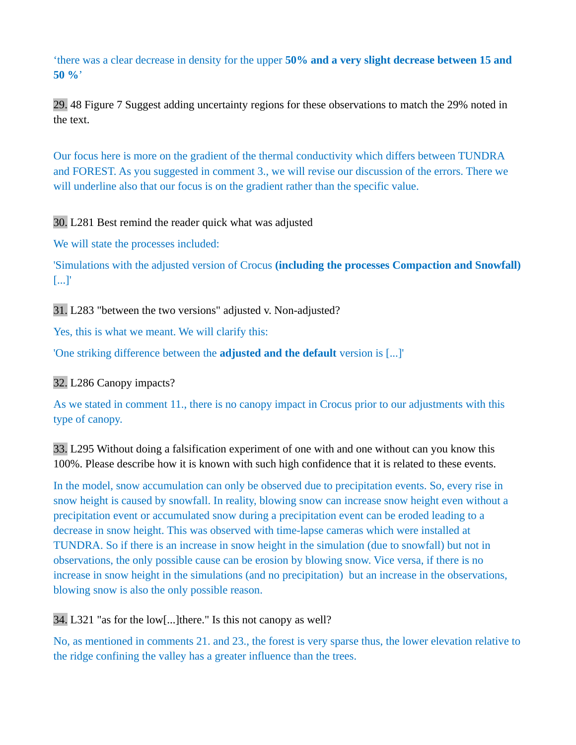'there was a clear decrease in density for the upper **50% and a very slight decrease between 15 and 50 %**'

29. 48 Figure 7 Suggest adding uncertainty regions for these observations to match the 29% noted in the text.

Our focus here is more on the gradient of the thermal conductivity which differs between TUNDRA and FOREST. As you suggested in comment 3., we will revise our discussion of the errors. There we will underline also that our focus is on the gradient rather than the specific value.

30. L281 Best remind the reader quick what was adjusted

We will state the processes included:

'Simulations with the adjusted version of Crocus **(including the processes Compaction and Snowfall)** [...]'

31. L283 "between the two versions" adjusted v. Non-adjusted?

Yes, this is what we meant. We will clarify this:

'One striking difference between the **adjusted and the default** version is [...]'

32. L286 Canopy impacts?

As we stated in comment 11., there is no canopy impact in Crocus prior to our adjustments with this type of canopy.

33. L295 Without doing a falsification experiment of one with and one without can you know this 100%. Please describe how it is known with such high confidence that it is related to these events.

In the model, snow accumulation can only be observed due to precipitation events. So, every rise in snow height is caused by snowfall. In reality, blowing snow can increase snow height even without a precipitation event or accumulated snow during a precipitation event can be eroded leading to a decrease in snow height. This was observed with time-lapse cameras which were installed at TUNDRA. So if there is an increase in snow height in the simulation (due to snowfall) but not in observations, the only possible cause can be erosion by blowing snow. Vice versa, if there is no increase in snow height in the simulations (and no precipitation) but an increase in the observations, blowing snow is also the only possible reason.

34. L321 "as for the low[...]there." Is this not canopy as well?

No, as mentioned in comments 21. and 23., the forest is very sparse thus, the lower elevation relative to the ridge confining the valley has a greater influence than the trees.